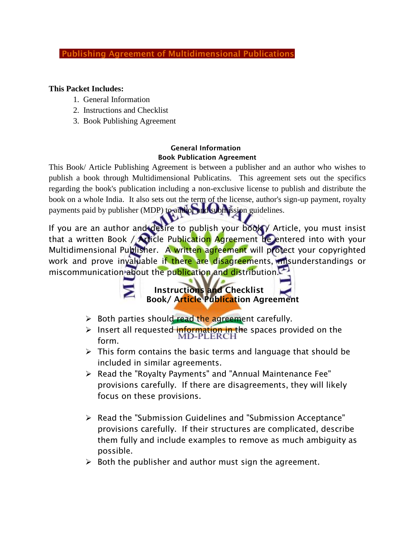# **Publishing Agreement of Multidimensional Publications**

### **This Packet Includes:**

- 1. General Information
- 2. Instructions and Checklist
- 3. Book Publishing Agreement

### **General Information Book Publication Agreement**

This Book/ Article Publishing Agreement is between a publisher and an author who wishes to publish a book through Multidimensional Publicatins. This agreement sets out the specifics regarding the book's publication including a non-exclusive license to publish and distribute the book on a whole India. It also sets out the term of the license, author's sign-up payment, royalty payments paid by publisher (MDP) to author and submission guidelines.

If you are an author and desire to publish your book Y Article, you must insist that a written Book / Article Publication Agreement be entered into with your Multidimensional Publisher. A written agreement will protect your copyrighted work and prove invaluable if there are disagreements, misunderstandings or miscommunication about the publication and distribution.

 **Instructions and Checklist Book/ Article Publication Agreement**

- $\triangleright$  Both parties should read the agreement carefully.
- Insert all requested information in the spaces provided on the  $\overline{MD-PLERCH}$ form.
- $\triangleright$  This form contains the basic terms and language that should be included in similar agreements.
- Read the "Royalty Payments" and "Annual Maintenance Fee" provisions carefully. If there are disagreements, they will likely focus on these provisions.
- Read the "Submission Guidelines and "Submission Acceptance" provisions carefully. If their structures are complicated, describe them fully and include examples to remove as much ambiguity as possible.
- $\triangleright$  Both the publisher and author must sign the agreement.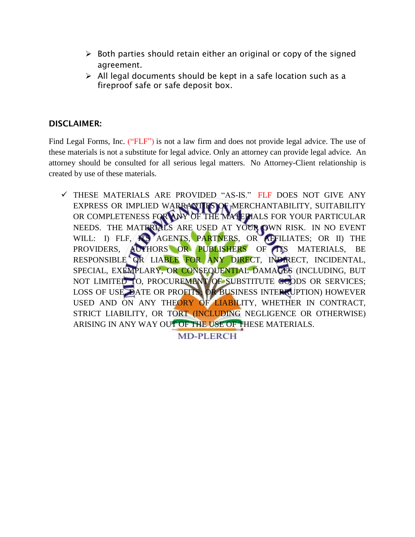- $\triangleright$  Both parties should retain either an original or copy of the signed agreement.
- $\triangleright$  All legal documents should be kept in a safe location such as a fireproof safe or safe deposit box.

# **DISCLAIMER:**

Find Legal Forms, Inc. ("FLF") is not a law firm and does not provide legal advice. The use of these materials is not a substitute for legal advice. Only an attorney can provide legal advice. An attorney should be consulted for all serious legal matters. No Attorney-Client relationship is created by use of these materials.

 $\checkmark$  THESE MATERIALS ARE PROVIDED "AS-IS." FLF DOES NOT GIVE ANY EXPRESS OR IMPLIED WARRANTIES OF MERCHANTABILITY, SUITABILITY OR COMPLETENESS FOR ANY OF THE MATERIALS FOR YOUR PARTICULAR NEEDS. THE MATERIALS ARE USED AT YOUR OWN RISK. IN NO EVENT WILL: I) FLF, **ITS AGENTS, PARTNERS, OR AFFILIATES; OR II) THE** PROVIDERS, AUTHORS OR PUBLISHERS OF ITS MATERIALS, BE RESPONSIBLE OR LIABLE FOR ANY DIRECT, INDIRECT, INCIDENTAL, SPECIAL, EXEMPLARY, OR CONSEQUENTIAL DAMAGES (INCLUDING, BUT NOT LIMITED TO, PROCUREMENT OF SUBSTITUTE GOODS OR SERVICES; LOSS OF USE, DATE OR PROFITS; OR BUSINESS INTERRUPTION) HOWEVER USED AND ON ANY THEORY OF LIABILITY, WHETHER IN CONTRACT, STRICT LIABILITY, OR TORT (INCLUDING NEGLIGENCE OR OTHERWISE) ARISING IN ANY WAY OUT OF THE USE OF THESE MATERIALS.

**MD-PLERCH**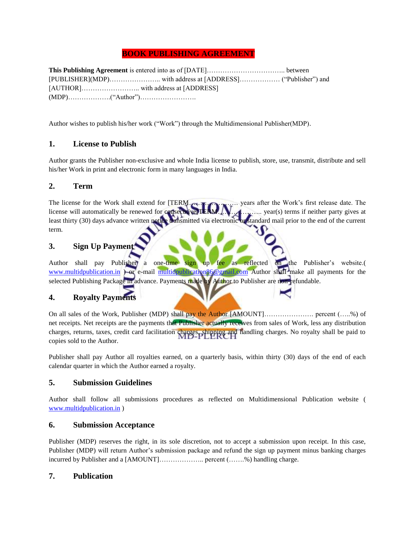### **BOOK PUBLISHING AGREEMENT**

**This Publishing Agreement** is entered into as of [DATE]…………………………….. between [PUBLISHER](MDP)………………….. with address at [ADDRESS]……………… ("Publisher") and [AUTHOR]…………………….. with address at [ADDRESS] (MDP)……………….("Author")…………………….

Author wishes to publish his/her work ("Work") through the Multidimensional Publisher(MDP).

### **1. License to Publish**

Author grants the Publisher non-exclusive and whole India license to publish, store, use, transmit, distribute and sell his/her Work in print and electronic form in many languages in India.

#### **2. Term**

The license for the Work shall extend for [TERM…………………. years after the Work's first release date. The license will automatically be renewed for consecutive TERM. With maximum year(s) terms if neither party gives at least thirty (30) days advance written notice transmitted via electronic or standard mail prior to the end of the current term.

# **3. Sign Up Payment**

Author shall pay Publisher) a one-time sign up fee as reflected on the Publisher's website.( [www.multidpublication.in](http://www.multidpublication.in/) ) or e-mail [multidpublication86@gmail.com](mailto:multidpublication86@gmail.com) Author shall make all payments for the selected Publishing Package in advance. Payments made by Author to Publisher are non-refundable.

### **4. Royalty Payments**

On all sales of the Work, Publisher (MDP) shall pay the Author [AMOUNT]…………………. percent (…..%) of net receipts. Net receipts are the payments that Publisher actually receives from sales of Work, less any distribution charges, returns, taxes, credit card facilitation charges, shipping and handling charges. No royalty shall be paid to copies sold to the Author.

Publisher shall pay Author all royalties earned, on a quarterly basis, within thirty (30) days of the end of each calendar quarter in which the Author earned a royalty.

#### **5. Submission Guidelines**

Author shall follow all submissions procedures as reflected on Multidimensional Publication website ( [www.multidpublication.in](http://www.multidpublication.in/) )

#### **6. Submission Acceptance**

Publisher (MDP) reserves the right, in its sole discretion, not to accept a submission upon receipt. In this case, Publisher (MDP) will return Author's submission package and refund the sign up payment minus banking charges incurred by Publisher and a [AMOUNT]……………….. percent (…….%) handling charge.

#### **7. Publication**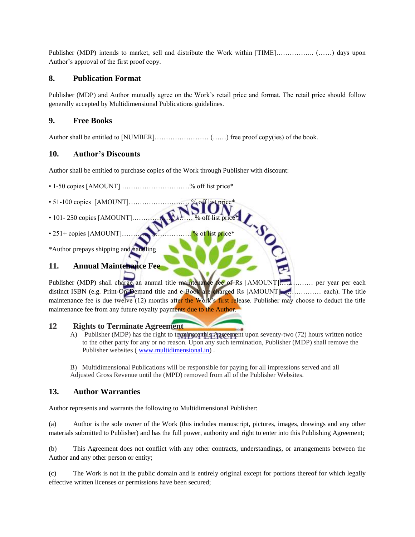Publisher (MDP) intends to market, sell and distribute the Work within [TIME]…………….. (……) days upon Author's approval of the first proof copy.

# **8. Publication Format**

Publisher (MDP) and Author mutually agree on the Work's retail price and format. The retail price should follow generally accepted by Multidimensional Publications guidelines.

# **9. Free Books**

Author shall be entitled to [NUMBER]…………………… (……) free proof copy(ies) of the book.

# **10. Author's Discounts**

Author shall be entitled to purchase copies of the Work through Publisher with discount:

• 1-50 copies [AMOUNT] …………………………% off list price\*

- 51-100 copies [AMOUNT]……………………… % off list price\*
- 101- 250 copies [AMOUNT]……………………… % off list price\*
- 251+ copies [AMOUNT]…………………………. % of list price\*

\*Author prepays shipping and handling

# **11. Annual Maintenance Fee**

Publisher (MDP) shall charge an annual title maintenance fee of Rs [AMOUNT]………… per year per each distinct ISBN (e.g. Print-On-Demand title and e-Book are charged Rs [AMOUNT]……………… each). The title maintenance fee is due twelve (12) months after the Work's first release. Publisher may choose to deduct the title maintenance fee from any future royalty payments due to the Author.

#### **12 Rights to Terminate Agreement**

A) Publisher (MDP) has the right to terminate this Agreement upon seventy-two (72) hours written notice to the other party for any or no reason. Upon any such termination, Publisher (MDP) shall remove the Publisher websites [\( www.multidimensional.in\)](http://www.multidimensional.in/) .

B) Multidimensional Publications will be responsible for paying for all impressions served and all Adjusted Gross Revenue until the (MPD) removed from all of the Publisher Websites.

### **13. Author Warranties**

Author represents and warrants the following to Multidimensional Publisher:

(a) Author is the sole owner of the Work (this includes manuscript, pictures, images, drawings and any other materials submitted to Publisher) and has the full power, authority and right to enter into this Publishing Agreement;

(b) This Agreement does not conflict with any other contracts, understandings, or arrangements between the Author and any other person or entity;

(c) The Work is not in the public domain and is entirely original except for portions thereof for which legally effective written licenses or permissions have been secured;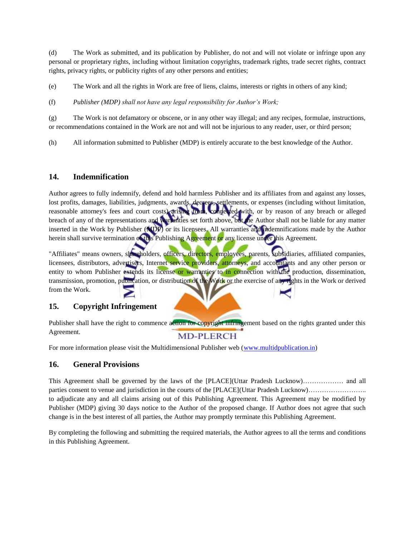(d) The Work as submitted, and its publication by Publisher, do not and will not violate or infringe upon any personal or proprietary rights, including without limitation copyrights, trademark rights, trade secret rights, contract rights, privacy rights, or publicity rights of any other persons and entities;

(e) The Work and all the rights in Work are free of liens, claims, interests or rights in others of any kind;

(f) *Publisher (MDP) shall not have any legal responsibility for Author's Work;*

(g) The Work is not defamatory or obscene, or in any other way illegal; and any recipes, formulae, instructions, or recommendations contained in the Work are not and will not be injurious to any reader, user, or third person;

(h) All information submitted to Publisher (MDP) is entirely accurate to the best knowledge of the Author.

#### **14. Indemnification**

Author agrees to fully indemnify, defend and hold harmless Publisher and its affiliates from and against any losses, lost profits, damages, liabilities, judgments, awards, decrees, settlements, or expenses (including without limitation, reasonable attorney's fees and court costs) arising from, connected with, or by reason of any breach or alleged breach of any of the representations and warranties set forth above, but the Author shall not be liable for any matter inserted in the Work by Publisher (MDP) or its licensees. All warranties and indemnifications made by the Author herein shall survive termination of this Publishing Agreement or any license under this Agreement.

"Affiliates" means owners, shareholders, officers, directors, employees, parents, subsidiaries, affiliated companies, licensees, distributors, advertisers, Internet service providers, attorneys, and accountants and any other person or entity to whom Publisher extends its license or warranties to in connection with the production, dissemination, transmission, promotion, publication, or distribution of the Work or the exercise of any rights in the Work or derived from the Work.

### **15. Copyright Infringement**

Publisher shall have the right to commence action for copyright infringement based on the rights granted under this Agreement. **MD-PLERCH** 

For more information please visit the Multidimensional Publisher web [\(www.multidpublication.in\)](http://www.multidpublication.in/)

#### **16. General Provisions**

This Agreement shall be governed by the laws of the [PLACE](Uttar Pradesh Lucknow)……………… and all parties consent to venue and jurisdiction in the courts of the [PLACE](Uttar Pradesh Lucknow)…………………….. to adjudicate any and all claims arising out of this Publishing Agreement. This Agreement may be modified by Publisher (MDP) giving 30 days notice to the Author of the proposed change. If Author does not agree that such change is in the best interest of all parties, the Author may promptly terminate this Publishing Agreement.

By completing the following and submitting the required materials, the Author agrees to all the terms and conditions in this Publishing Agreement.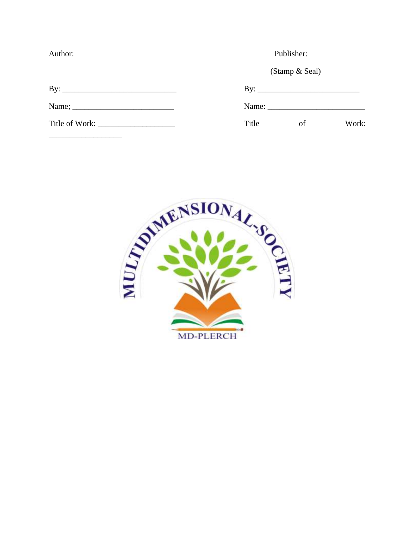Author:

Publisher:

(Stamp & Seal)

| B |  |
|---|--|
|   |  |

| Name; $\_\_$ |  |  |  |
|--------------|--|--|--|
|              |  |  |  |

Title of Work:

Name:

Title  $% \left( \left( \mathcal{A},\mathcal{A}\right) \right) =\left( \mathcal{A},\mathcal{A}\right)$  of Work:

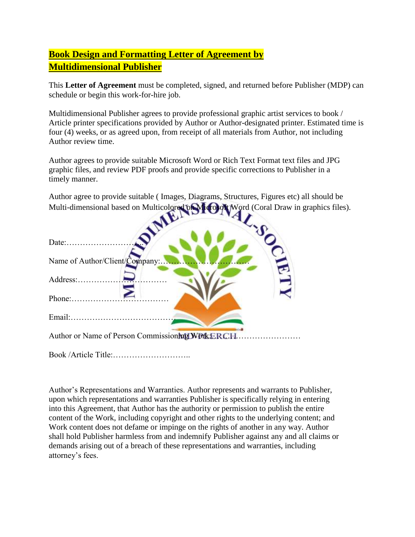# **Book Design and Formatting Letter of Agreement by Multidimensional Publisher**

This **Letter of Agreement** must be completed, signed, and returned before Publisher (MDP) can schedule or begin this work-for-hire job.

Multidimensional Publisher agrees to provide professional graphic artist services to book / Article printer specifications provided by Author or Author-designated printer. Estimated time is four (4) weeks, or as agreed upon, from receipt of all materials from Author, not including Author review time.

Author agrees to provide suitable Microsoft Word or Rich Text Format text files and JPG graphic files, and review PDF proofs and provide specific corrections to Publisher in a timely manner.

Author agree to provide suitable ( Images, Diagrams, Structures, Figures etc) all should be Multi-dimensional based on Multicolored on Multicolored on Microsoft Word (Coral Draw in graphics files).

| Name of Author/Client/Company:                   |  |  |
|--------------------------------------------------|--|--|
| Address:                                         |  |  |
| $Phone: \ldots \ldots \ldots \ldots$             |  |  |
|                                                  |  |  |
| Author or Name of Person Commissioning Work ERCH |  |  |

Book /Article Title:………………………..

Author's Representations and Warranties. Author represents and warrants to Publisher, upon which representations and warranties Publisher is specifically relying in entering into this Agreement, that Author has the authority or permission to publish the entire content of the Work, including copyright and other rights to the underlying content; and Work content does not defame or impinge on the rights of another in any way. Author shall hold Publisher harmless from and indemnify Publisher against any and all claims or demands arising out of a breach of these representations and warranties, including attorney's fees.